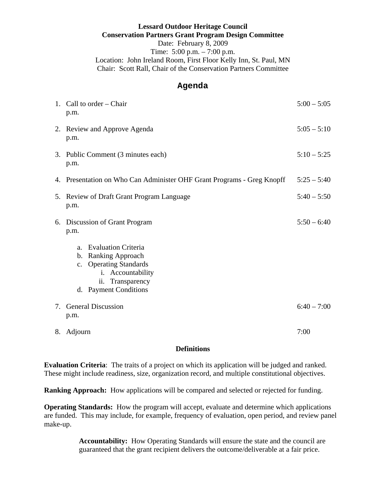## **Lessard Outdoor Heritage Council Conservation Partners Grant Program Design Committee**  Date: February 8, 2009 Time: 5:00 p.m. – 7:00 p.m. Location: John Ireland Room, First Floor Kelly Inn, St. Paul, MN Chair: Scott Rall, Chair of the Conservation Partners Committee

## **Agenda**

|    | 1. Call to order – Chair<br>p.m.                                                                                                                                          | $5:00 - 5:05$ |
|----|---------------------------------------------------------------------------------------------------------------------------------------------------------------------------|---------------|
|    | 2. Review and Approve Agenda<br>p.m.                                                                                                                                      | $5:05 - 5:10$ |
|    | 3. Public Comment (3 minutes each)<br>p.m.                                                                                                                                | $5:10 - 5:25$ |
|    | 4. Presentation on Who Can Administer OHF Grant Programs - Greg Knopff                                                                                                    | $5:25 - 5:40$ |
|    | 5. Review of Draft Grant Program Language<br>p.m.                                                                                                                         | $5:40 - 5:50$ |
| 6. | Discussion of Grant Program<br>p.m.                                                                                                                                       | $5:50 - 6:40$ |
|    | <b>Evaluation Criteria</b><br>a.<br><b>Ranking Approach</b><br>$\mathbf{b}$ .<br>c. Operating Standards<br>i. Accountability<br>ii. Transparency<br>d. Payment Conditions |               |
| 7. | <b>General Discussion</b><br>p.m.                                                                                                                                         | $6:40 - 7:00$ |
| 8. | Adjourn                                                                                                                                                                   | 7:00          |

## **Definitions**

**Evaluation Criteria**: The traits of a project on which its application will be judged and ranked. These might include readiness, size, organization record, and multiple constitutional objectives.

**Ranking Approach:** How applications will be compared and selected or rejected for funding.

**Operating Standards:** How the program will accept, evaluate and determine which applications are funded. This may include, for example, frequency of evaluation, open period, and review panel make-up.

> **Accountability:** How Operating Standards will ensure the state and the council are guaranteed that the grant recipient delivers the outcome/deliverable at a fair price.